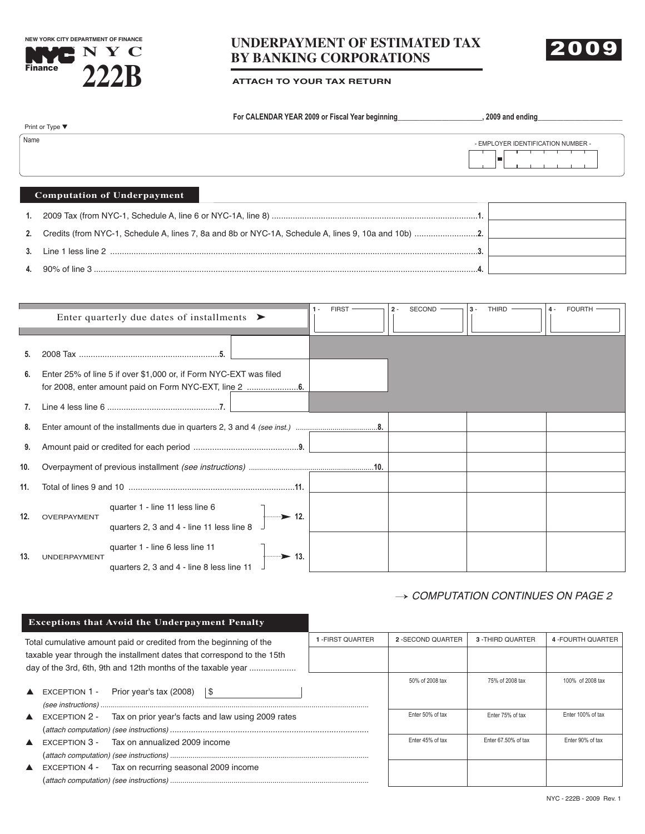**NEW YORK CITY DEPARTMENT OF FINANCE**Б **Finance 222B**

# **UNDERPAYMENT OF ESTIMATED TAX BY BANKING CORPORATIONS N Y C** 2009





|      | For CALENDAR YEAR 2009 or Fiscal Year beginning                                                  | 2009 and ending                    |
|------|--------------------------------------------------------------------------------------------------|------------------------------------|
|      | Print or Type ▼                                                                                  |                                    |
| Name |                                                                                                  | - EMPLOYER IDENTIFICATION NUMBER - |
|      |                                                                                                  |                                    |
|      | <b>Computation of Underpayment</b>                                                               |                                    |
|      |                                                                                                  |                                    |
|      | Credite (from NVC-1, Schodule A, lines 7, 89 and 8b or NVC-1A, Schodule A, lines 9, 109 and 10b) |                                    |

| Credits (from NYC-1, Schedule A. lines 7, 8a and 8b or NYC-1A. Schedule A. lines 9, 10a and 10b) ………………………………… |  |
|----------------------------------------------------------------------------------------------------------------|--|
|                                                                                                                |  |
| Line 1 less line 2                                                                                             |  |
|                                                                                                                |  |

**4.** 90% of line 3 ....................................................................................................................................................................**4.**

|     | Enter quarterly due dates of installments $\triangleright$                                                           | <b>FIRST</b><br>SECOND<br><b>THIRD</b><br><b>FOURTH</b><br>$2 -$<br>$3 -$<br>$4 -$ |
|-----|----------------------------------------------------------------------------------------------------------------------|------------------------------------------------------------------------------------|
|     |                                                                                                                      |                                                                                    |
| 6.  | Enter 25% of line 5 if over \$1,000 or, if Form NYC-EXT was filed                                                    |                                                                                    |
|     |                                                                                                                      |                                                                                    |
| 8.  |                                                                                                                      |                                                                                    |
| 9.  |                                                                                                                      |                                                                                    |
| 10. |                                                                                                                      |                                                                                    |
| 11. |                                                                                                                      |                                                                                    |
| 12. | quarter 1 - line 11 less line 6<br>$\longrightarrow$ 12.<br>OVERPAYMENT<br>quarters 2, 3 and 4 - line 11 less line 8 |                                                                                    |
| 13. | quarter 1 - line 6 less line 11<br>……→ 13.<br><b>UNDERPAYMENT</b><br>quarters 2, 3 and 4 - line 8 less line 11       |                                                                                    |

#### $\rightarrow$  COMPUTATION CONTINUES ON PAGE 2

#### **Exceptions that Avoid the Underpayment Penalty**

| Total cumulative amount paid or credited from the beginning of the                                                                     |                                                                                 | I -FIRST QUARTER | 2 - SECOND QUARTER | 3 - THIRD QUARTER   | 4 - FOURTH QUARTER |
|----------------------------------------------------------------------------------------------------------------------------------------|---------------------------------------------------------------------------------|------------------|--------------------|---------------------|--------------------|
| taxable year through the installment dates that correspond to the 15th<br>day of the 3rd, 6th, 9th and 12th months of the taxable year |                                                                                 |                  |                    |                     |                    |
|                                                                                                                                        |                                                                                 |                  | 50% of 2008 tax    | 75% of 2008 tax     | 100% of 2008 tax   |
|                                                                                                                                        | EXCEPTION 1 - Prior year's tax (2008) $\frac{1}{3}$                             |                  |                    |                     |                    |
|                                                                                                                                        |                                                                                 |                  |                    |                     |                    |
|                                                                                                                                        | $\triangle$ EXCEPTION 2 -<br>Tax on prior year's facts and law using 2009 rates |                  | Enter 50% of tax   | Enter 75% of tax    | Enter 100% of tax  |
|                                                                                                                                        |                                                                                 |                  |                    |                     |                    |
|                                                                                                                                        | $\triangle$ EXCEPTION 3 - Tax on annualized 2009 income                         |                  | Enter 45% of tax   | Enter 67.50% of tax | Enter 90% of tax   |
|                                                                                                                                        |                                                                                 |                  |                    |                     |                    |
|                                                                                                                                        | EXCEPTION 4 - Tax on recurring seasonal 2009 income                             |                  |                    |                     |                    |
|                                                                                                                                        |                                                                                 |                  |                    |                     |                    |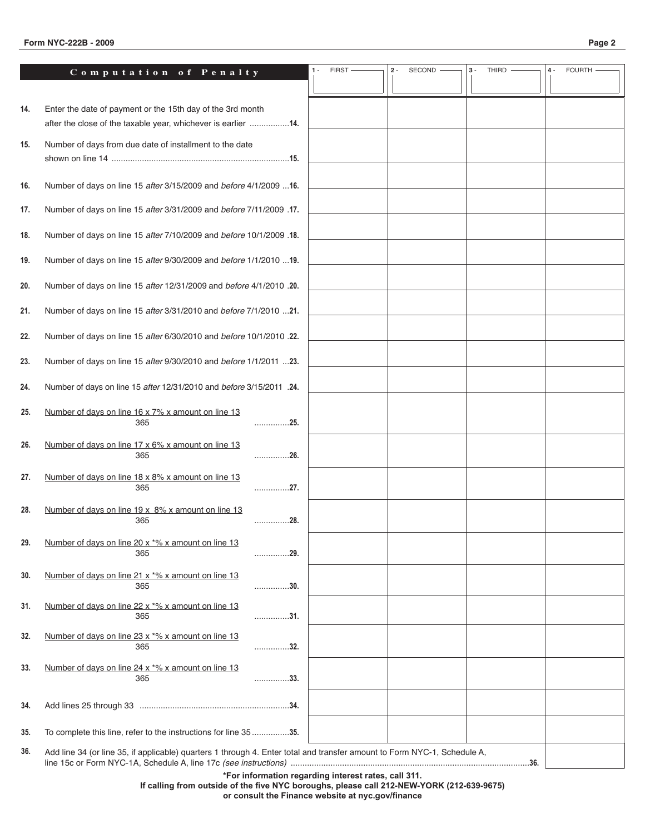#### **Form NYC-222B - 2009 Page 2**

|--|--|

|     | Computation of Penalty                                                                                                   |           | <b>FIRST</b>                                         | SECOND<br>$2 -$ | THIRD<br>$3 -$ | <b>FOURTH</b><br>$4 -$ |
|-----|--------------------------------------------------------------------------------------------------------------------------|-----------|------------------------------------------------------|-----------------|----------------|------------------------|
|     |                                                                                                                          |           |                                                      |                 |                |                        |
| 14. | Enter the date of payment or the 15th day of the 3rd month                                                               |           |                                                      |                 |                |                        |
|     | after the close of the taxable year, whichever is earlier 14.                                                            |           |                                                      |                 |                |                        |
| 15. | Number of days from due date of installment to the date                                                                  |           |                                                      |                 |                |                        |
|     |                                                                                                                          |           |                                                      |                 |                |                        |
| 16. | Number of days on line 15 after 3/15/2009 and before 4/1/2009  16.                                                       |           |                                                      |                 |                |                        |
| 17. | Number of days on line 15 after 3/31/2009 and before 7/11/2009 .17.                                                      |           |                                                      |                 |                |                        |
| 18. | Number of days on line 15 after 7/10/2009 and before 10/1/2009 .18.                                                      |           |                                                      |                 |                |                        |
|     |                                                                                                                          |           |                                                      |                 |                |                        |
| 19. | Number of days on line 15 after 9/30/2009 and before 1/1/2010  19.                                                       |           |                                                      |                 |                |                        |
| 20. | Number of days on line 15 after 12/31/2009 and before 4/1/2010 .20.                                                      |           |                                                      |                 |                |                        |
| 21. | Number of days on line 15 after 3/31/2010 and before 7/1/2010 21.                                                        |           |                                                      |                 |                |                        |
| 22. | Number of days on line 15 after 6/30/2010 and before 10/1/2010 .22.                                                      |           |                                                      |                 |                |                        |
| 23. | Number of days on line 15 after 9/30/2010 and before 1/1/2011 23.                                                        |           |                                                      |                 |                |                        |
| 24. | Number of days on line 15 after 12/31/2010 and before 3/15/2011 .24.                                                     |           |                                                      |                 |                |                        |
| 25. | Number of days on line 16 x 7% x amount on line 13                                                                       |           |                                                      |                 |                |                        |
|     | 365                                                                                                                      | 25.       |                                                      |                 |                |                        |
| 26. | Number of days on line 17 x 6% x amount on line 13<br>365                                                                | 26.       |                                                      |                 |                |                        |
| 27. | Number of days on line 18 x 8% x amount on line 13                                                                       |           |                                                      |                 |                |                        |
|     | 365                                                                                                                      | . 27.     |                                                      |                 |                |                        |
| 28. | Number of days on line 19 x 8% x amount on line 13<br>365                                                                | .28.<br>. |                                                      |                 |                |                        |
|     |                                                                                                                          |           |                                                      |                 |                |                        |
| 29. | Number of days on line 20 x *% x amount on line 13<br>365                                                                | 29.       |                                                      |                 |                |                        |
| 30. | Number of days on line 21 x *% x amount on line 13                                                                       |           |                                                      |                 |                |                        |
|     | 365                                                                                                                      | 30.       |                                                      |                 |                |                        |
| 31. | Number of days on line 22 x *% x amount on line 13<br>365                                                                | . 31.     |                                                      |                 |                |                        |
| 32. | Number of days on line 23 x *% x amount on line 13<br>365                                                                | . 32.     |                                                      |                 |                |                        |
|     | Number of days on line 24 x *% x amount on line 13                                                                       |           |                                                      |                 |                |                        |
| 33. | 365                                                                                                                      | 33.       |                                                      |                 |                |                        |
| 34. |                                                                                                                          |           |                                                      |                 |                |                        |
| 35. | To complete this line, refer to the instructions for line 3535.                                                          |           |                                                      |                 |                |                        |
| 36. | Add line 34 (or line 35, if applicable) quarters 1 through 4. Enter total and transfer amount to Form NYC-1, Schedule A, |           |                                                      |                 |                |                        |
|     |                                                                                                                          |           | *For information regarding interest rates, call 311. |                 |                |                        |

**If calling from outside of the five NYC boroughs, please call 212-NEW-YORK (212-639-9675) or consult the Finance website at nyc.gov/finance**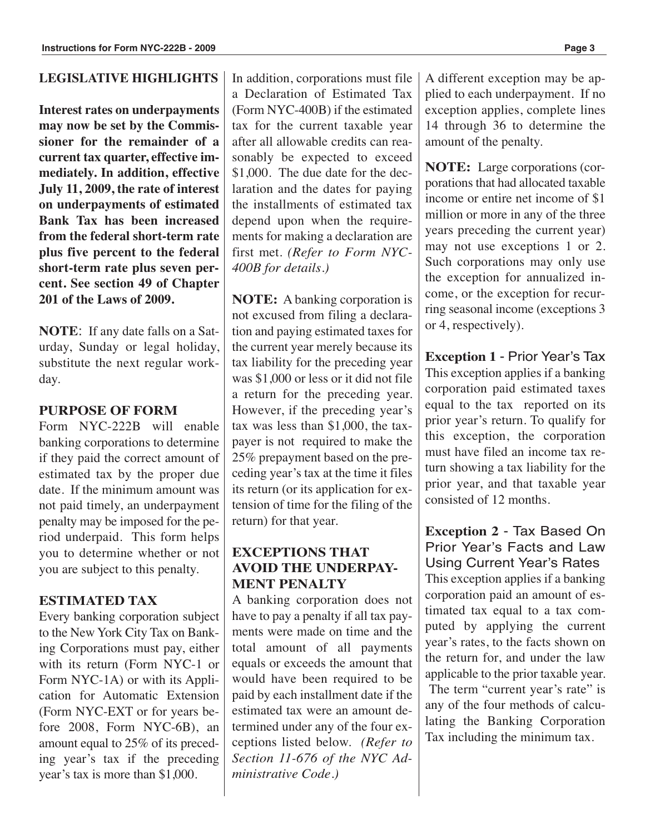#### **LEGISLATIVE HIGHLIGHTS**

**Interest rates on underpayments may now be set by the Commissioner for the remainder of a current tax quarter, effective immediately. In addition, effective July 11, 2009, the rate of interest on underpayments of estimated Bank Tax has been increased from the federal short-term rate plus five percent to the federal short-term rate plus seven percent. See section 49 of Chapter 201 of the Laws of 2009.**

**NOTE**: If any date falls on a Saturday, Sunday or legal holiday, substitute the next regular workday.

#### **PURPOSE OF FORM**

Form NYC-222B will enable banking corporations to determine if they paid the correct amount of estimated tax by the proper due date. If the minimum amount was not paid timely, an underpayment penalty may be imposed for the period underpaid. This form helps you to determine whether or not you are subject to this penalty.

#### **ESTIMATED TAX**

Every banking corporation subject to the New York City Tax on Banking Corporations must pay, either with its return (Form NYC-1 or Form NYC-1A) or with its Application for Automatic Extension (Form NYC-EXT or for years before 2008, Form NYC-6B), an amount equal to 25% of its preceding year's tax if the preceding year's tax is more than \$1,000.

In addition, corporations must file a Declaration of Estimated Tax (Form NYC-400B) if the estimated tax for the current taxable year after all allowable credits can reasonably be expected to exceed \$1,000. The due date for the declaration and the dates for paying the installments of estimated tax depend upon when the requirements for making a declaration are first met. *(Refer to Form NYC-400B for details.)*

**NOTE:** A banking corporation is not excused from filing a declaration and paying estimated taxes for the current year merely because its tax liability for the preceding year was \$1,000 or less or it did not file a return for the preceding year. However, if the preceding year's tax was less than \$1,000, the taxpayer is not required to make the 25% prepayment based on the preceding year's tax at the time it files its return (or its application for extension of time for the filing of the return) for that year.

#### **EXCEPTIONS THAT AVOID THE UNDERPAY-MENT PENALTY**

A banking corporation does not have to pay a penalty if all tax payments were made on time and the total amount of all payments equals or exceeds the amount that would have been required to be paid by each installment date if the estimated tax were an amount determined under any of the four exceptions listed below. *(Refer to Section 11-676 of the NYC Administrative Code.)*

A different exception may be applied to each underpayment. If no exception applies, complete lines 14 through 36 to determine the amount of the penalty.

**NOTE:** Large corporations (corporations that had allocated taxable income or entire net income of \$1 million or more in any of the three years preceding the current year) may not use exceptions 1 or 2. Such corporations may only use the exception for annualized income, or the exception for recurring seasonal income (exceptions 3 or 4, respectively).

**Exception 1** - Prior Year's Tax This exception applies if a banking corporation paid estimated taxes equal to the tax reported on its prior year's return. To qualify for this exception, the corporation must have filed an income tax return showing a tax liability for the prior year, and that taxable year consisted of 12 months.

**Exception 2** - Tax Based On Prior Year's Facts and Law Using Current Year's Rates This exception applies if a banking corporation paid an amount of estimated tax equal to a tax computed by applying the current year's rates, to the facts shown on the return for, and under the law applicable to the prior taxable year. The term "current year's rate" is any of the four methods of calculating the Banking Corporation Tax including the minimum tax.